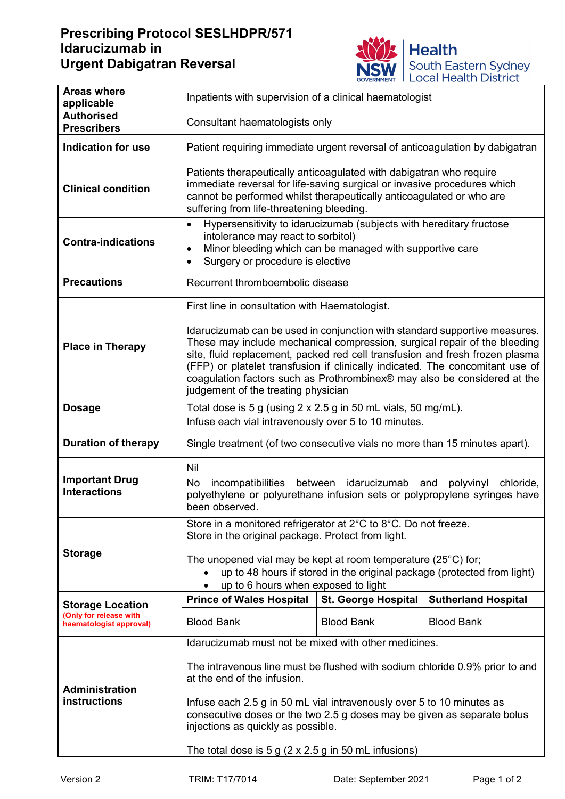## **Prescribing Protocol SESLHDPR/571 Idarucizumab in Urgent Dabigatran Reversal**



| <b>Areas where</b><br>applicable                  | Inpatients with supervision of a clinical haematologist                                                                                                                                                                                                                                                                                                                                                                                     |                            |                            |  |
|---------------------------------------------------|---------------------------------------------------------------------------------------------------------------------------------------------------------------------------------------------------------------------------------------------------------------------------------------------------------------------------------------------------------------------------------------------------------------------------------------------|----------------------------|----------------------------|--|
| <b>Authorised</b><br><b>Prescribers</b>           | Consultant haematologists only                                                                                                                                                                                                                                                                                                                                                                                                              |                            |                            |  |
| <b>Indication for use</b>                         | Patient requiring immediate urgent reversal of anticoagulation by dabigatran                                                                                                                                                                                                                                                                                                                                                                |                            |                            |  |
| <b>Clinical condition</b>                         | Patients therapeutically anticoagulated with dabigatran who require<br>immediate reversal for life-saving surgical or invasive procedures which<br>cannot be performed whilst therapeutically anticoagulated or who are<br>suffering from life-threatening bleeding.                                                                                                                                                                        |                            |                            |  |
| <b>Contra-indications</b>                         | Hypersensitivity to idarucizumab (subjects with hereditary fructose<br>$\bullet$<br>intolerance may react to sorbitol)<br>Minor bleeding which can be managed with supportive care<br>$\bullet$<br>Surgery or procedure is elective<br>$\bullet$                                                                                                                                                                                            |                            |                            |  |
| <b>Precautions</b>                                | Recurrent thromboembolic disease                                                                                                                                                                                                                                                                                                                                                                                                            |                            |                            |  |
|                                                   | First line in consultation with Haematologist.                                                                                                                                                                                                                                                                                                                                                                                              |                            |                            |  |
| <b>Place in Therapy</b>                           | Idarucizumab can be used in conjunction with standard supportive measures.<br>These may include mechanical compression, surgical repair of the bleeding<br>site, fluid replacement, packed red cell transfusion and fresh frozen plasma<br>(FFP) or platelet transfusion if clinically indicated. The concomitant use of<br>coagulation factors such as Prothrombinex® may also be considered at the<br>judgement of the treating physician |                            |                            |  |
| <b>Dosage</b>                                     | Total dose is 5 g (using 2 x 2.5 g in 50 mL vials, 50 mg/mL).                                                                                                                                                                                                                                                                                                                                                                               |                            |                            |  |
|                                                   | Infuse each vial intravenously over 5 to 10 minutes.                                                                                                                                                                                                                                                                                                                                                                                        |                            |                            |  |
| <b>Duration of therapy</b>                        | Single treatment (of two consecutive vials no more than 15 minutes apart).                                                                                                                                                                                                                                                                                                                                                                  |                            |                            |  |
| <b>Important Drug</b><br><b>Interactions</b>      | Nil<br>incompatibilities between idarucizumab and<br>No<br>chloride,<br>polyvinyl<br>polyethylene or polyurethane infusion sets or polypropylene syringes have<br>been observed.                                                                                                                                                                                                                                                            |                            |                            |  |
| <b>Storage</b>                                    | Store in a monitored refrigerator at 2°C to 8°C. Do not freeze.<br>Store in the original package. Protect from light.                                                                                                                                                                                                                                                                                                                       |                            |                            |  |
|                                                   | The unopened vial may be kept at room temperature $(25^{\circ}C)$ for;<br>up to 48 hours if stored in the original package (protected from light)<br>up to 6 hours when exposed to light                                                                                                                                                                                                                                                    |                            |                            |  |
| <b>Storage Location</b>                           | <b>Prince of Wales Hospital</b>                                                                                                                                                                                                                                                                                                                                                                                                             | <b>St. George Hospital</b> | <b>Sutherland Hospital</b> |  |
| (Only for release with<br>haematologist approval) | <b>Blood Bank</b>                                                                                                                                                                                                                                                                                                                                                                                                                           | <b>Blood Bank</b>          | <b>Blood Bank</b>          |  |
|                                                   | Idarucizumab must not be mixed with other medicines.                                                                                                                                                                                                                                                                                                                                                                                        |                            |                            |  |
| <b>Administration</b><br>instructions             | The intravenous line must be flushed with sodium chloride 0.9% prior to and<br>at the end of the infusion.                                                                                                                                                                                                                                                                                                                                  |                            |                            |  |
|                                                   | Infuse each 2.5 g in 50 mL vial intravenously over 5 to 10 minutes as<br>consecutive doses or the two 2.5 g doses may be given as separate bolus<br>injections as quickly as possible.                                                                                                                                                                                                                                                      |                            |                            |  |
|                                                   | The total dose is 5 g ( $2 \times 2.5$ g in 50 mL infusions)                                                                                                                                                                                                                                                                                                                                                                                |                            |                            |  |